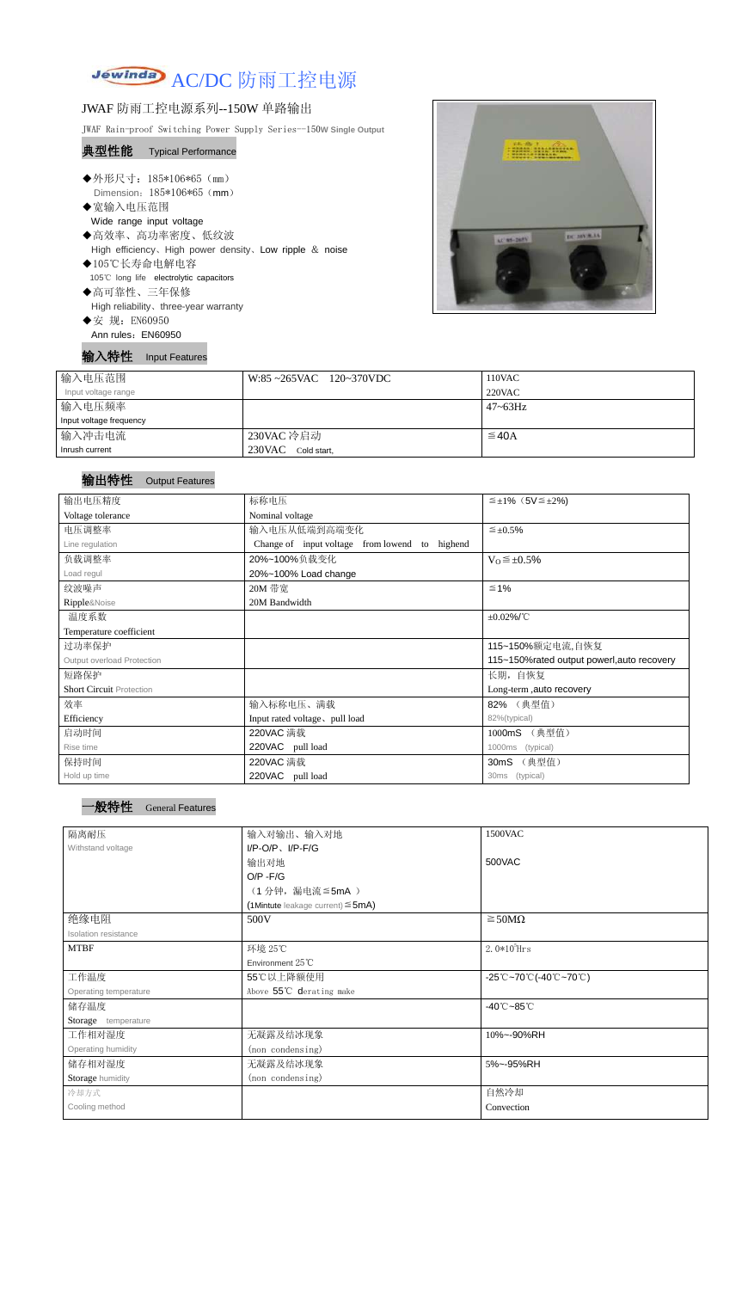

## JWAF 防雨工控电源系列--150W 单路输出

JWAF Rain-proof Switching Power Supply Series--150**W Single Output**

## 典型性能 Typical Performance

- ◆外形尺寸: 185\*106\*65 (mm) Dimension: 185\*106\*65 (mm)
- ◆宽输入电压范围 Wide range input voltage ◆高效率、高功率密度、低纹波
- High efficiency、High power density、Low ripple & noise
- ◆105℃长寿命电解电容 105℃ long life electrolytic capacitors
- ◆高可靠性、三年保修 High reliability、three-year warranty
- ◆安 规: EN60950
- Ann rules: EN60950

输入特性 Input Features



| 输入电压范围                  | $W:85 \sim 265$ VAC 120~370VDC | 110VAC          |
|-------------------------|--------------------------------|-----------------|
| Input voltage range     |                                | 220VAC          |
| 输入电压频率                  |                                | $47 \sim 63$ Hz |
| Input voltage frequency |                                |                 |
| 输入冲击电流                  | 230VAC 冷启动                     | $\leq$ 40A      |
| Inrush current          | 230VAC Cold start,             |                 |

## 输出特性 Output Features



| 输出电压精度                          | 标称电压                                                 | $\leq \pm 1\%$ (5V $\leq \pm 2\%$ )         |  |
|---------------------------------|------------------------------------------------------|---------------------------------------------|--|
| Voltage tolerance               | Nominal voltage                                      |                                             |  |
| 电压调整率                           | 输入电压从低端到高端变化                                         | $\leq \pm 0.5\%$                            |  |
| Line regulation                 | Change of input voltage from lowend<br>highend<br>to |                                             |  |
| 负载调整率                           | 20%~100%负载变化                                         | $V_0 \leq \pm 0.5\%$                        |  |
| Load regul                      | 20%~100% Load change                                 |                                             |  |
| 纹波噪声                            | 20M 带宽                                               | $\leq 1\%$                                  |  |
| Ripple&Noise                    | 20M Bandwidth                                        |                                             |  |
| 温度系数                            |                                                      | $±0.02\%$ /°C                               |  |
| Temperature coefficient         |                                                      |                                             |  |
| 过功率保护                           |                                                      | 115~150%额定电流,自恢复                            |  |
| Output overload Protection      |                                                      | 115~150% rated output powerl, auto recovery |  |
| 短路保护                            |                                                      | 长期, 自恢复                                     |  |
| <b>Short Circuit Protection</b> |                                                      | Long-term, auto recovery                    |  |
| 效率                              | 输入标称电压、满载                                            | 82% (典型值)                                   |  |
| Efficiency                      | Input rated voltage, pull load                       | 82%(typical)                                |  |
| 启动时间                            | 220VAC 满载                                            | 1000mS (典型值)                                |  |
| Rise time                       | 220VAC pull load                                     | 1000ms<br>(typical)                         |  |
| 保持时间                            | 220VAC 满载                                            | (典型值)<br>30 <sub>m</sub> S                  |  |
| Hold up time                    | 220VAC pull load                                     | (typical)<br>30ms                           |  |

| 隔离耐压                  | 输入对输出、输入对地                             | 1500VAC                                                                               |  |
|-----------------------|----------------------------------------|---------------------------------------------------------------------------------------|--|
| Withstand voltage     | $I/P$ -O/P, $I/P$ -F/G                 |                                                                                       |  |
|                       | 输出对地                                   | 500VAC                                                                                |  |
|                       | $O/P - F/G$                            |                                                                                       |  |
|                       | (1分钟,漏电流≦5mA)                          |                                                                                       |  |
|                       | (1Mintute leakage current) $\leq$ 5mA) |                                                                                       |  |
| 绝缘电阻                  | 500V                                   | $\geq$ 50M $\Omega$                                                                   |  |
| Isolation resistance  |                                        |                                                                                       |  |
| <b>MTBF</b>           | 环境 25℃                                 | $2.0*105$ Hrs                                                                         |  |
|                       | Environment 25°C                       |                                                                                       |  |
| 工作温度                  | 55℃以上降额使用                              | $-25^{\circ}\text{C}-70^{\circ}\text{C}$ (-40 $^{\circ}\text{C}-70^{\circ}\text{C}$ ) |  |
| Operating temperature | Above 55°C derating make               |                                                                                       |  |
| 储存温度                  |                                        | -40 $^{\circ}$ C ~85 $^{\circ}$ C                                                     |  |
| Storage temperature   |                                        |                                                                                       |  |
| 工作相对湿度                | 无凝露及结冰现象                               | 10%~-90%RH                                                                            |  |
| Operating humidity    | (non condensing)                       |                                                                                       |  |
| 储存相对湿度                | 无凝露及结冰现象                               | 5%~-95%RH                                                                             |  |
| Storage humidity      | (non condensing)                       |                                                                                       |  |
| 冷却方式                  |                                        | 自然冷却                                                                                  |  |
| Cooling method        |                                        | Convection                                                                            |  |